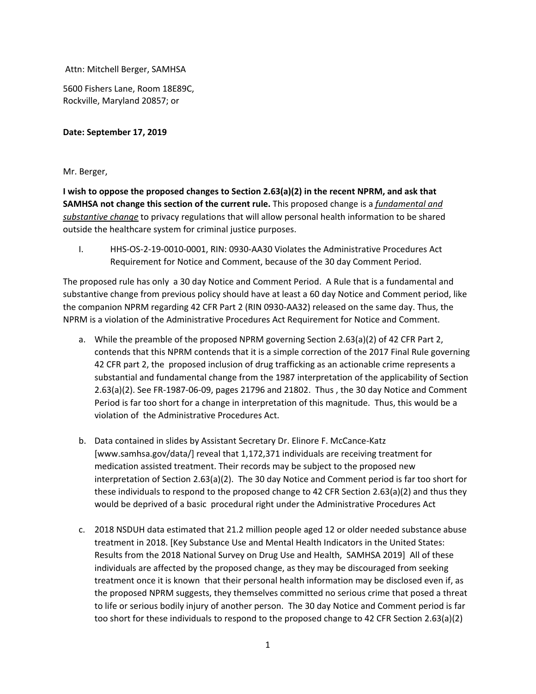Attn: Mitchell Berger, SAMHSA

5600 Fishers Lane, Room 18E89C, Rockville, Maryland 20857; or

## **Date: September 17, 2019**

## Mr. Berger,

**I wish to oppose the proposed changes to Section 2.63(a)(2) in the recent NPRM, and ask that SAMHSA not change this section of the current rule.** This proposed change is a *fundamental and substantive change* to privacy regulations that will allow personal health information to be shared outside the healthcare system for criminal justice purposes.

I. HHS-OS-2-19-0010-0001, RIN: 0930-AA30 Violates the Administrative Procedures Act Requirement for Notice and Comment, because of the 30 day Comment Period.

The proposed rule has only a 30 day Notice and Comment Period. A Rule that is a fundamental and substantive change from previous policy should have at least a 60 day Notice and Comment period, like the companion NPRM regarding 42 CFR Part 2 (RIN 0930-AA32) released on the same day. Thus, the NPRM is a violation of the Administrative Procedures Act Requirement for Notice and Comment.

- a. While the preamble of the proposed NPRM governing Section 2.63(a)(2) of 42 CFR Part 2, contends that this NPRM contends that it is a simple correction of the 2017 Final Rule governing 42 CFR part 2, the proposed inclusion of drug trafficking as an actionable crime represents a substantial and fundamental change from the 1987 interpretation of the applicability of Section 2.63(a)(2). See FR-1987-06-09, pages 21796 and 21802. Thus , the 30 day Notice and Comment Period is far too short for a change in interpretation of this magnitude. Thus, this would be a violation of the Administrative Procedures Act.
- b. Data contained in slides by Assistant Secretary Dr. Elinore F. McCance-Katz [www.samhsa.gov/data/] reveal that 1,172,371 individuals are receiving treatment for medication assisted treatment. Their records may be subject to the proposed new interpretation of Section 2.63(a)(2). The 30 day Notice and Comment period is far too short for these individuals to respond to the proposed change to 42 CFR Section 2.63(a)(2) and thus they would be deprived of a basic procedural right under the Administrative Procedures Act
- c. 2018 NSDUH data estimated that 21.2 million people aged 12 or older needed substance abuse treatment in 2018. [Key Substance Use and Mental Health Indicators in the United States: Results from the 2018 National Survey on Drug Use and Health, SAMHSA 2019] All of these individuals are affected by the proposed change, as they may be discouraged from seeking treatment once it is known that their personal health information may be disclosed even if, as the proposed NPRM suggests, they themselves committed no serious crime that posed a threat to life or serious bodily injury of another person. The 30 day Notice and Comment period is far too short for these individuals to respond to the proposed change to 42 CFR Section 2.63(a)(2)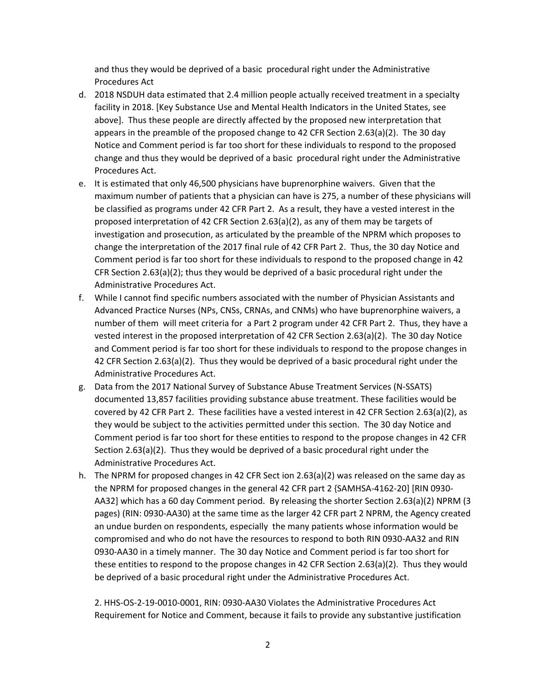and thus they would be deprived of a basic procedural right under the Administrative Procedures Act

- d. 2018 NSDUH data estimated that 2.4 million people actually received treatment in a specialty facility in 2018. [Key Substance Use and Mental Health Indicators in the United States, see above]. Thus these people are directly affected by the proposed new interpretation that appears in the preamble of the proposed change to 42 CFR Section 2.63(a)(2). The 30 day Notice and Comment period is far too short for these individuals to respond to the proposed change and thus they would be deprived of a basic procedural right under the Administrative Procedures Act.
- e. It is estimated that only 46,500 physicians have buprenorphine waivers. Given that the maximum number of patients that a physician can have is 275, a number of these physicians will be classified as programs under 42 CFR Part 2. As a result, they have a vested interest in the proposed interpretation of 42 CFR Section 2.63(a)(2), as any of them may be targets of investigation and prosecution, as articulated by the preamble of the NPRM which proposes to change the interpretation of the 2017 final rule of 42 CFR Part 2. Thus, the 30 day Notice and Comment period is far too short for these individuals to respond to the proposed change in 42 CFR Section 2.63(a)(2); thus they would be deprived of a basic procedural right under the Administrative Procedures Act.
- f. While I cannot find specific numbers associated with the number of Physician Assistants and Advanced Practice Nurses (NPs, CNSs, CRNAs, and CNMs) who have buprenorphine waivers, a number of them will meet criteria for a Part 2 program under 42 CFR Part 2. Thus, they have a vested interest in the proposed interpretation of 42 CFR Section 2.63(a)(2). The 30 day Notice and Comment period is far too short for these individuals to respond to the propose changes in 42 CFR Section 2.63(a)(2). Thus they would be deprived of a basic procedural right under the Administrative Procedures Act.
- g. Data from the 2017 National Survey of Substance Abuse Treatment Services (N-SSATS) documented 13,857 facilities providing substance abuse treatment. These facilities would be covered by 42 CFR Part 2. These facilities have a vested interest in 42 CFR Section 2.63(a)(2), as they would be subject to the activities permitted under this section. The 30 day Notice and Comment period is far too short for these entities to respond to the propose changes in 42 CFR Section 2.63(a)(2). Thus they would be deprived of a basic procedural right under the Administrative Procedures Act.
- h. The NPRM for proposed changes in 42 CFR Sect ion 2.63(a)(2) was released on the same day as the NPRM for proposed changes in the general 42 CFR part 2 {SAMHSA-4162-20] [RIN 0930- AA32] which has a 60 day Comment period. By releasing the shorter Section 2.63(a)(2) NPRM (3 pages) (RIN: 0930-AA30) at the same time as the larger 42 CFR part 2 NPRM, the Agency created an undue burden on respondents, especially the many patients whose information would be compromised and who do not have the resources to respond to both RIN 0930-AA32 and RIN 0930-AA30 in a timely manner. The 30 day Notice and Comment period is far too short for these entities to respond to the propose changes in 42 CFR Section 2.63(a)(2). Thus they would be deprived of a basic procedural right under the Administrative Procedures Act.

2. HHS-OS-2-19-0010-0001, RIN: 0930-AA30 Violates the Administrative Procedures Act Requirement for Notice and Comment, because it fails to provide any substantive justification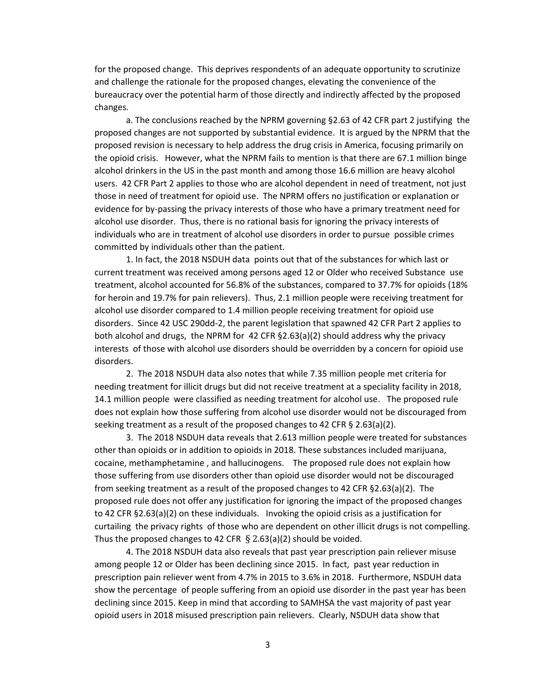for the proposed change. This deprives respondents of an adequate opportunity to scrutinize and challenge the rationale for the proposed changes, elevating the convenience of the bureaucracy over the potential harm of those directly and indirectly affected by the proposed changes.

a. The conclusions reached by the NPRM governing §2.63 of 42 CFR part 2 justifying the proposed changes are not supported by substantial evidence. It is argued by the NPRM that the proposed revision is necessary to help address the drug crisis in America, focusing primarily on the opioid crisis. However, what the NPRM fails to mention is that there are 67.1 million binge alcohol drinkers in the US in the past month and among those 16.6 million are heavy alcohol users. 42 CFR Part 2 applies to those who are alcohol dependent in need of treatment, not just those in need of treatment for opioid use. The NPRM offers no justification or explanation or evidence for by-passing the privacy interests of those who have a primary treatment need for alcohol use disorder. Thus, there is no rational basis for ignoring the privacy interests of individuals who are in treatment of alcohol use disorders in order to pursue possible crimes committed by individuals other than the patient.

1. In fact, the 2018 NSDUH data points out that of the substances for which last or current treatment was received among persons aged 12 or Older who received Substance use treatment, alcohol accounted for 56.8% of the substances, compared to 37.7% for opioids (18% for heroin and 19.7% for pain relievers). Thus, 2.1 million people were receiving treatment for alcohol use disorder compared to 1.4 million people receiving treatment for opioid use disorders. Since 42 USC 290dd-2, the parent legislation that spawned 42 CFR Part 2 applies to both alcohol and drugs, the NPRM for 42 CFR §2.63(a)(2) should address why the privacy interests of those with alcohol use disorders should be overridden by a concern for opioid use disorders.

2. The 2018 NSDUH data also notes that while 7.35 million people met criteria for needing treatment for illicit drugs but did not receive treatment at a speciality facility in 2018, 14.1 million people were classified as needing treatment for alcohol use. The proposed rule does not explain how those suffering from alcohol use disorder would not be discouraged from seeking treatment as a result of the proposed changes to 42 CFR § 2.63(a)(2).

3. The 2018 NSDUH data reveals that 2.613 million people were treated for substances other than opioids or in addition to opioids in 2018. These substances included marijuana, cocaine, methamphetamine , and hallucinogens. The proposed rule does not explain how those suffering from use disorders other than opioid use disorder would not be discouraged from seeking treatment as a result of the proposed changes to 42 CFR §2.63(a)(2). The proposed rule does not offer any justification for ignoring the impact of the proposed changes to 42 CFR §2.63(a)(2) on these individuals. Invoking the opioid crisis as a justification for curtailing the privacy rights of those who are dependent on other illicit drugs is not compelling. Thus the proposed changes to 42 CFR  $\S$  2.63(a)(2) should be voided.

4. The 2018 NSDUH data also reveals that past year prescription pain reliever misuse among people 12 or Older has been declining since 2015. In fact, past year reduction in prescription pain reliever went from 4.7% in 2015 to 3.6% in 2018. Furthermore, NSDUH data show the percentage of people suffering from an opioid use disorder in the past year has been declining since 2015. Keep in mind that according to SAMHSA the vast majority of past year opioid users in 2018 misused prescription pain relievers. Clearly, NSDUH data show that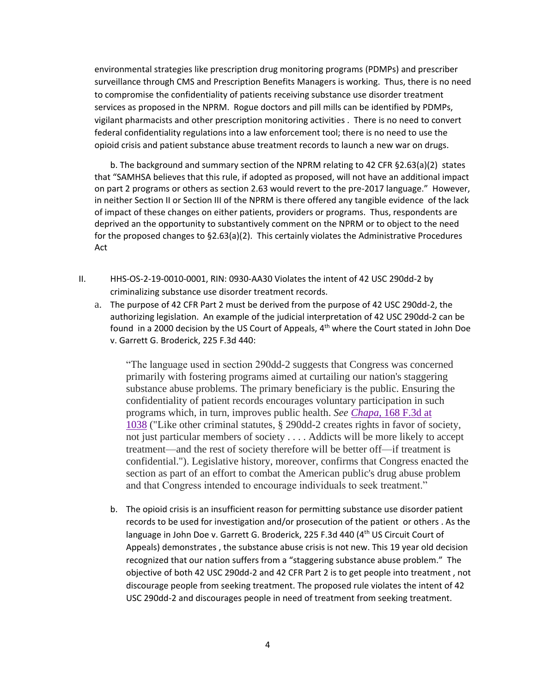environmental strategies like prescription drug monitoring programs (PDMPs) and prescriber surveillance through CMS and Prescription Benefits Managers is working. Thus, there is no need to compromise the confidentiality of patients receiving substance use disorder treatment services as proposed in the NPRM. Rogue doctors and pill mills can be identified by PDMPs, vigilant pharmacists and other prescription monitoring activities . There is no need to convert federal confidentiality regulations into a law enforcement tool; there is no need to use the opioid crisis and patient substance abuse treatment records to launch a new war on drugs.

b. The background and summary section of the NPRM relating to 42 CFR §2.63(a)(2) states that "SAMHSA believes that this rule, if adopted as proposed, will not have an additional impact on part 2 programs or others as section 2.63 would revert to the pre-2017 language." However, in neither Section II or Section III of the NPRM is there offered any tangible evidence of the lack of impact of these changes on either patients, providers or programs. Thus, respondents are deprived an the opportunity to substantively comment on the NPRM or to object to the need for the proposed changes to §2.63(a)(2). This certainly violates the Administrative Procedures Act

- II. HHS-OS-2-19-0010-0001, RIN: 0930-AA30 Violates the intent of 42 USC 290dd-2 by criminalizing substance use disorder treatment records.
	- a. The purpose of 42 CFR Part 2 must be derived from the purpose of 42 USC 290dd-2, the authorizing legislation. An example of the judicial interpretation of 42 USC 290dd-2 can be found in a 2000 decision by the US Court of Appeals,  $4<sup>th</sup>$  where the Court stated in John Doe v. Garrett G. Broderick, 225 F.3d 440:

"The language used in section 290dd-2 suggests that Congress was concerned primarily with fostering programs aimed at curtailing our nation's staggering substance abuse problems. The primary beneficiary is the public. Ensuring the confidentiality of patient records encourages voluntary participation in such programs which, in turn, improves public health. *See Chapa,* [168 F.3d at](https://scholar.google.com/scholar_case?case=9884567629466947477&q=42+USC+290dd-2&hl=en&as_sdt=20000006)  [1038](https://scholar.google.com/scholar_case?case=9884567629466947477&q=42+USC+290dd-2&hl=en&as_sdt=20000006) ("Like other criminal statutes, § 290dd-2 creates rights in favor of society, not just particular members of society . . . . Addicts will be more likely to accept treatment—and the rest of society therefore will be better off—if treatment is confidential."). Legislative history, moreover, confirms that Congress enacted the section as part of an effort to combat the American public's drug abuse problem and that Congress intended to encourage individuals to seek treatment."

b. The opioid crisis is an insufficient reason for permitting substance use disorder patient records to be used for investigation and/or prosecution of the patient or others . As the language in John Doe v. Garrett G. Broderick, 225 F.3d 440 (4<sup>th</sup> US Circuit Court of Appeals) demonstrates , the substance abuse crisis is not new. This 19 year old decision recognized that our nation suffers from a "staggering substance abuse problem." The objective of both 42 USC 290dd-2 and 42 CFR Part 2 is to get people into treatment , not discourage people from seeking treatment. The proposed rule violates the intent of 42 USC 290dd-2 and discourages people in need of treatment from seeking treatment.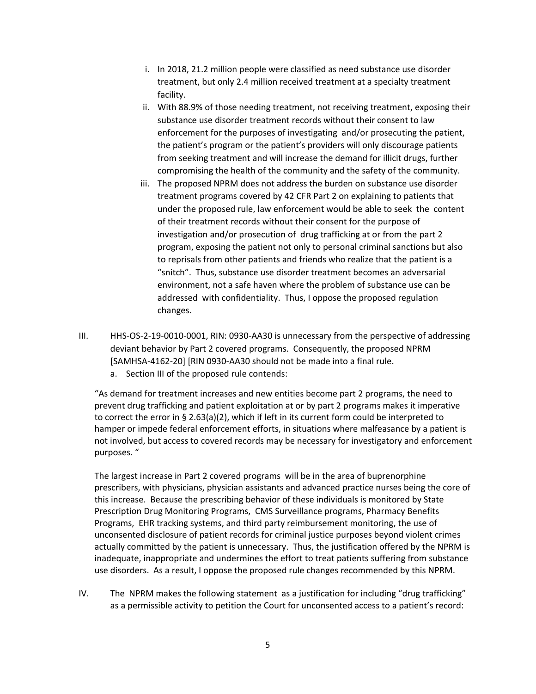- i. In 2018, 21.2 million people were classified as need substance use disorder treatment, but only 2.4 million received treatment at a specialty treatment facility.
- ii. With 88.9% of those needing treatment, not receiving treatment, exposing their substance use disorder treatment records without their consent to law enforcement for the purposes of investigating and/or prosecuting the patient, the patient's program or the patient's providers will only discourage patients from seeking treatment and will increase the demand for illicit drugs, further compromising the health of the community and the safety of the community.
- iii. The proposed NPRM does not address the burden on substance use disorder treatment programs covered by 42 CFR Part 2 on explaining to patients that under the proposed rule, law enforcement would be able to seek the content of their treatment records without their consent for the purpose of investigation and/or prosecution of drug trafficking at or from the part 2 program, exposing the patient not only to personal criminal sanctions but also to reprisals from other patients and friends who realize that the patient is a "snitch". Thus, substance use disorder treatment becomes an adversarial environment, not a safe haven where the problem of substance use can be addressed with confidentiality. Thus, I oppose the proposed regulation changes.
- III. HHS-OS-2-19-0010-0001, RIN: 0930-AA30 is unnecessary from the perspective of addressing deviant behavior by Part 2 covered programs. Consequently, the proposed NPRM [SAMHSA-4162-20] [RIN 0930-AA30 should not be made into a final rule.
	- a. Section III of the proposed rule contends:

"As demand for treatment increases and new entities become part 2 programs, the need to prevent drug trafficking and patient exploitation at or by part 2 programs makes it imperative to correct the error in § 2.63(a)(2), which if left in its current form could be interpreted to hamper or impede federal enforcement efforts, in situations where malfeasance by a patient is not involved, but access to covered records may be necessary for investigatory and enforcement purposes. "

The largest increase in Part 2 covered programs will be in the area of buprenorphine prescribers, with physicians, physician assistants and advanced practice nurses being the core of this increase. Because the prescribing behavior of these individuals is monitored by State Prescription Drug Monitoring Programs, CMS Surveillance programs, Pharmacy Benefits Programs, EHR tracking systems, and third party reimbursement monitoring, the use of unconsented disclosure of patient records for criminal justice purposes beyond violent crimes actually committed by the patient is unnecessary. Thus, the justification offered by the NPRM is inadequate, inappropriate and undermines the effort to treat patients suffering from substance use disorders. As a result, I oppose the proposed rule changes recommended by this NPRM.

IV. The NPRM makes the following statement as a justification for including "drug trafficking" as a permissible activity to petition the Court for unconsented access to a patient's record: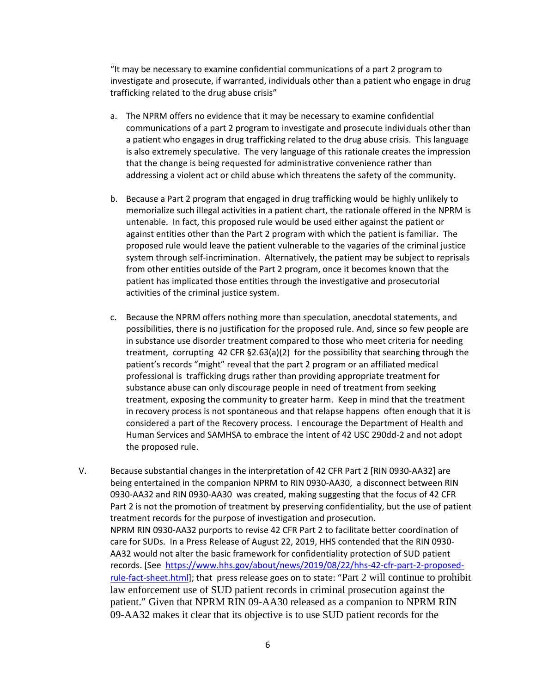"It may be necessary to examine confidential communications of a part 2 program to investigate and prosecute, if warranted, individuals other than a patient who engage in drug trafficking related to the drug abuse crisis"

- a. The NPRM offers no evidence that it may be necessary to examine confidential communications of a part 2 program to investigate and prosecute individuals other than a patient who engages in drug trafficking related to the drug abuse crisis. This language is also extremely speculative. The very language of this rationale creates the impression that the change is being requested for administrative convenience rather than addressing a violent act or child abuse which threatens the safety of the community.
- b. Because a Part 2 program that engaged in drug trafficking would be highly unlikely to memorialize such illegal activities in a patient chart, the rationale offered in the NPRM is untenable. In fact, this proposed rule would be used either against the patient or against entities other than the Part 2 program with which the patient is familiar. The proposed rule would leave the patient vulnerable to the vagaries of the criminal justice system through self-incrimination. Alternatively, the patient may be subject to reprisals from other entities outside of the Part 2 program, once it becomes known that the patient has implicated those entities through the investigative and prosecutorial activities of the criminal justice system.
- c. Because the NPRM offers nothing more than speculation, anecdotal statements, and possibilities, there is no justification for the proposed rule. And, since so few people are in substance use disorder treatment compared to those who meet criteria for needing treatment, corrupting 42 CFR §2.63(a)(2) for the possibility that searching through the patient's records "might" reveal that the part 2 program or an affiliated medical professional is trafficking drugs rather than providing appropriate treatment for substance abuse can only discourage people in need of treatment from seeking treatment, exposing the community to greater harm. Keep in mind that the treatment in recovery process is not spontaneous and that relapse happens often enough that it is considered a part of the Recovery process. I encourage the Department of Health and Human Services and SAMHSA to embrace the intent of 42 USC 290dd-2 and not adopt the proposed rule.
- V. Because substantial changes in the interpretation of 42 CFR Part 2 [RIN 0930-AA32] are being entertained in the companion NPRM to RIN 0930-AA30, a disconnect between RIN 0930-AA32 and RIN 0930-AA30 was created, making suggesting that the focus of 42 CFR Part 2 is not the promotion of treatment by preserving confidentiality, but the use of patient treatment records for the purpose of investigation and prosecution. NPRM RIN 0930-AA32 purports to revise 42 CFR Part 2 to facilitate better coordination of care for SUDs. In a Press Release of August 22, 2019, HHS contended that the RIN 0930- AA32 would not alter the basic framework for confidentiality protection of SUD patient records. [See [https://www.hhs.gov/about/news/2019/08/22/hhs-42-cfr-part-2-proposed](https://www.hhs.gov/about/news/2019/08/22/hhs-42-cfr-part-2-proposed-rule-fact-sheet.html)[rule-fact-sheet.html](https://www.hhs.gov/about/news/2019/08/22/hhs-42-cfr-part-2-proposed-rule-fact-sheet.html)]; that press release goes on to state: "Part 2 will continue to prohibit law enforcement use of SUD patient records in criminal prosecution against the patient." Given that NPRM RIN 09-AA30 released as a companion to NPRM RIN 09-AA32 makes it clear that its objective is to use SUD patient records for the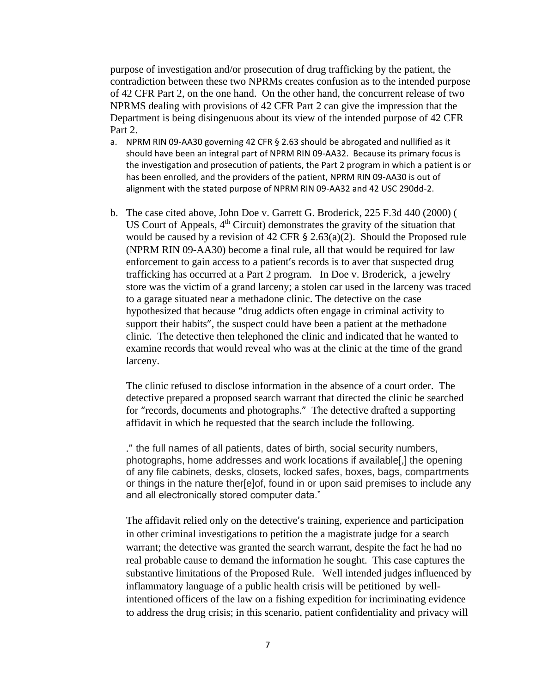purpose of investigation and/or prosecution of drug trafficking by the patient, the contradiction between these two NPRMs creates confusion as to the intended purpose of 42 CFR Part 2, on the one hand. On the other hand, the concurrent release of two NPRMS dealing with provisions of 42 CFR Part 2 can give the impression that the Department is being disingenuous about its view of the intended purpose of 42 CFR Part 2.

- a. NPRM RIN 09-AA30 governing 42 CFR § 2.63 should be abrogated and nullified as it should have been an integral part of NPRM RIN 09-AA32. Because its primary focus is the investigation and prosecution of patients, the Part 2 program in which a patient is or has been enrolled, and the providers of the patient, NPRM RIN 09-AA30 is out of alignment with the stated purpose of NPRM RIN 09-AA32 and 42 USC 290dd-2.
- b. The case cited above, John Doe v. Garrett G. Broderick, 225 F.3d 440 (2000) ( US Court of Appeals,  $4<sup>th</sup>$  Circuit) demonstrates the gravity of the situation that would be caused by a revision of 42 CFR  $\S$  2.63(a)(2). Should the Proposed rule (NPRM RIN 09-AA30) become a final rule, all that would be required for law enforcement to gain access to a patient's records is to aver that suspected drug trafficking has occurred at a Part 2 program. In Doe v. Broderick, a jewelry store was the victim of a grand larceny; a stolen car used in the larceny was traced to a garage situated near a methadone clinic. The detective on the case hypothesized that because "drug addicts often engage in criminal activity to support their habits", the suspect could have been a patient at the methadone clinic. The detective then telephoned the clinic and indicated that he wanted to examine records that would reveal who was at the clinic at the time of the grand larceny.

The clinic refused to disclose information in the absence of a court order. The detective prepared a proposed search warrant that directed the clinic be searched for "records, documents and photographs." The detective drafted a supporting affidavit in which he requested that the search include the following.

." the full names of all patients, dates of birth, social security numbers, photographs, home addresses and work locations if available[,] the opening of any file cabinets, desks, closets, locked safes, boxes, bags, compartments or things in the nature ther[e]of, found in or upon said premises to include any and all electronically stored computer data."

The affidavit relied only on the detective's training, experience and participation in other criminal investigations to petition the a magistrate judge for a search warrant; the detective was granted the search warrant, despite the fact he had no real probable cause to demand the information he sought. This case captures the substantive limitations of the Proposed Rule. Well intended judges influenced by inflammatory language of a public health crisis will be petitioned by wellintentioned officers of the law on a fishing expedition for incriminating evidence to address the drug crisis; in this scenario, patient confidentiality and privacy will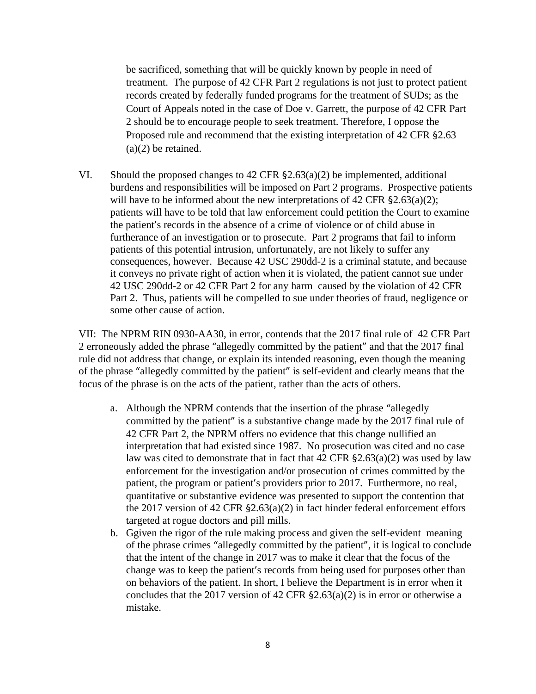be sacrificed, something that will be quickly known by people in need of treatment. The purpose of 42 CFR Part 2 regulations is not just to protect patient records created by federally funded programs for the treatment of SUDs; as the Court of Appeals noted in the case of Doe v. Garrett, the purpose of 42 CFR Part 2 should be to encourage people to seek treatment. Therefore, I oppose the Proposed rule and recommend that the existing interpretation of 42 CFR §2.63 (a)(2) be retained.

VI. Should the proposed changes to  $42 \text{ CFR } \xi$ 2.63(a)(2) be implemented, additional burdens and responsibilities will be imposed on Part 2 programs. Prospective patients will have to be informed about the new interpretations of 42 CFR  $\S 2.63(a)(2)$ ; patients will have to be told that law enforcement could petition the Court to examine the patient's records in the absence of a crime of violence or of child abuse in furtherance of an investigation or to prosecute. Part 2 programs that fail to inform patients of this potential intrusion, unfortunately, are not likely to suffer any consequences, however. Because 42 USC 290dd-2 is a criminal statute, and because it conveys no private right of action when it is violated, the patient cannot sue under 42 USC 290dd-2 or 42 CFR Part 2 for any harm caused by the violation of 42 CFR Part 2. Thus, patients will be compelled to sue under theories of fraud, negligence or some other cause of action.

VII: The NPRM RIN 0930-AA30, in error, contends that the 2017 final rule of 42 CFR Part 2 erroneously added the phrase "allegedly committed by the patient" and that the 2017 final rule did not address that change, or explain its intended reasoning, even though the meaning of the phrase "allegedly committed by the patient" is self-evident and clearly means that the focus of the phrase is on the acts of the patient, rather than the acts of others.

- a. Although the NPRM contends that the insertion of the phrase "allegedly committed by the patient" is a substantive change made by the 2017 final rule of 42 CFR Part 2, the NPRM offers no evidence that this change nullified an interpretation that had existed since 1987. No prosecution was cited and no case law was cited to demonstrate that in fact that  $42$  CFR  $\S 2.63(a)(2)$  was used by law enforcement for the investigation and/or prosecution of crimes committed by the patient, the program or patient's providers prior to 2017. Furthermore, no real, quantitative or substantive evidence was presented to support the contention that the 2017 version of 42 CFR §2.63(a)(2) in fact hinder federal enforcement effors targeted at rogue doctors and pill mills.
- b. Ggiven the rigor of the rule making process and given the self-evident meaning of the phrase crimes "allegedly committed by the patient", it is logical to conclude that the intent of the change in 2017 was to make it clear that the focus of the change was to keep the patient's records from being used for purposes other than on behaviors of the patient. In short, I believe the Department is in error when it concludes that the 2017 version of 42 CFR §2.63(a)(2) is in error or otherwise a mistake.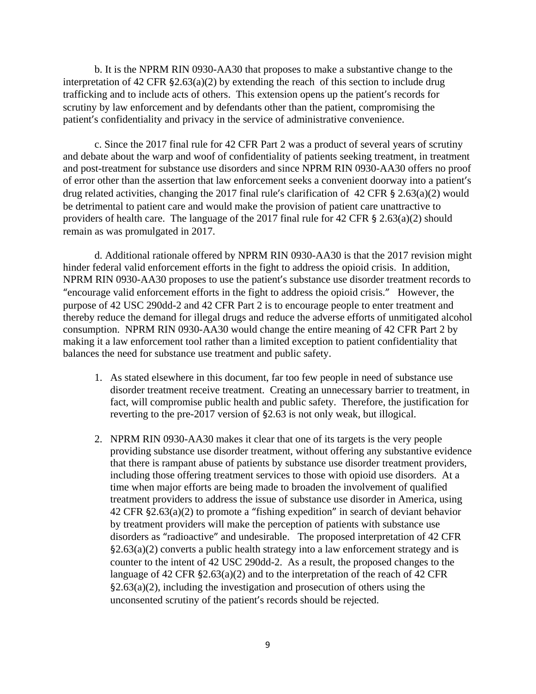b. It is the NPRM RIN 0930-AA30 that proposes to make a substantive change to the interpretation of 42 CFR §2.63(a)(2) by extending the reach of this section to include drug trafficking and to include acts of others. This extension opens up the patient's records for scrutiny by law enforcement and by defendants other than the patient, compromising the patient's confidentiality and privacy in the service of administrative convenience.

c. Since the 2017 final rule for 42 CFR Part 2 was a product of several years of scrutiny and debate about the warp and woof of confidentiality of patients seeking treatment, in treatment and post-treatment for substance use disorders and since NPRM RIN 0930-AA30 offers no proof of error other than the assertion that law enforcement seeks a convenient doorway into a patient's drug related activities, changing the 2017 final rule's clarification of 42 CFR § 2.63(a)(2) would be detrimental to patient care and would make the provision of patient care unattractive to providers of health care. The language of the 2017 final rule for 42 CFR § 2.63(a)(2) should remain as was promulgated in 2017.

d. Additional rationale offered by NPRM RIN 0930-AA30 is that the 2017 revision might hinder federal valid enforcement efforts in the fight to address the opioid crisis. In addition, NPRM RIN 0930-AA30 proposes to use the patient's substance use disorder treatment records to "encourage valid enforcement efforts in the fight to address the opioid crisis." However, the purpose of 42 USC 290dd-2 and 42 CFR Part 2 is to encourage people to enter treatment and thereby reduce the demand for illegal drugs and reduce the adverse efforts of unmitigated alcohol consumption. NPRM RIN 0930-AA30 would change the entire meaning of 42 CFR Part 2 by making it a law enforcement tool rather than a limited exception to patient confidentiality that balances the need for substance use treatment and public safety.

- 1. As stated elsewhere in this document, far too few people in need of substance use disorder treatment receive treatment. Creating an unnecessary barrier to treatment, in fact, will compromise public health and public safety. Therefore, the justification for reverting to the pre-2017 version of §2.63 is not only weak, but illogical.
- 2. NPRM RIN 0930-AA30 makes it clear that one of its targets is the very people providing substance use disorder treatment, without offering any substantive evidence that there is rampant abuse of patients by substance use disorder treatment providers, including those offering treatment services to those with opioid use disorders. At a time when major efforts are being made to broaden the involvement of qualified treatment providers to address the issue of substance use disorder in America, using 42 CFR §2.63(a)(2) to promote a "fishing expedition" in search of deviant behavior by treatment providers will make the perception of patients with substance use disorders as "radioactive" and undesirable. The proposed interpretation of 42 CFR  $\S2.63(a)(2)$  converts a public health strategy into a law enforcement strategy and is counter to the intent of 42 USC 290dd-2. As a result, the proposed changes to the language of 42 CFR §2.63(a)(2) and to the interpretation of the reach of 42 CFR §2.63(a)(2), including the investigation and prosecution of others using the unconsented scrutiny of the patient's records should be rejected.